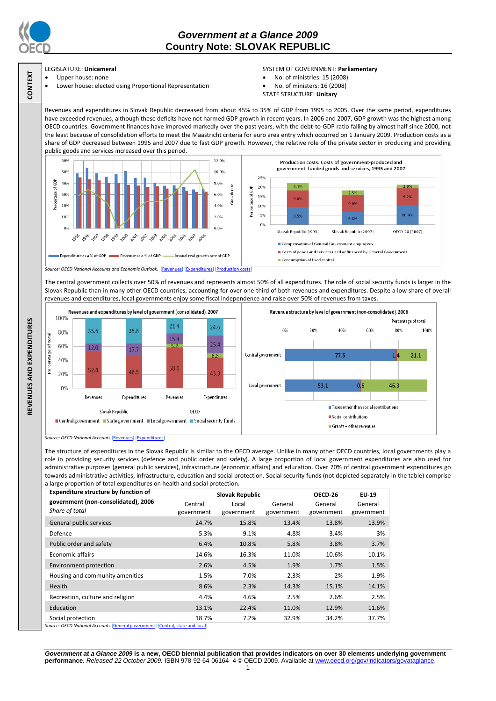

**CONTEXT**

**REVENUES AND EXPENDITURES**

REVENUES AND EXPENDITURES

# *Government at a Glance 2009*  **Country Note: SLOVAK REPUBLIC**

### LEGISLATURE: **Unicameral**

- Upper house: none
- Lower house: elected using Proportional Representation

### SYSTEM OF GOVERNMENT: **Parliamentary**

- No. of ministries: 15 (2008)
- No. of ministers: 16 (2008)
- STATE STRUCTURE: **Unitary**

Revenues and expenditures in Slovak Republic decreased from about 45% to 35% of GDP from 1995 to 2005. Over the same period, expenditures have exceeded revenues, although these deficits have not harmed GDP growth in recent years. In 2006 and 2007, GDP growth was the highest among OECD countries. Government finances have improved markedly over the past years, with the debt-to-GDP ratio falling by almost half since 2000, not the least because of consolidation efforts to meet the Maastricht criteria for euro area entry which occurred on 1 January 2009. Production costs as a share of GDP decreased between 1995 and 2007 due to fast GDP growth. However, the relative role of the private sector in producing and providing public goods and services increased over this period.





The central government collects over 50% of revenues and represents almost 50% of all expenditures. The role of social security funds is larger in the

Slovak Republic than in many other OECD countries, accounting for over one-third of both revenues and expenditures. Despite a low share of overall revenues and expenditures, local governments enjoy some fiscal independence and raise over 50% of revenues from taxes.



*Source: OECD National Accounts* [\[Revenues\]](http://dx.doi.org/10.1787/723418413857) [\[Expenditures\]](http://dx.doi.org/10.1787/723508524025)

The structure of expenditures in the Slovak Republic is similar to the OECD average. Unlike in many other OECD countries, local governments play a role in providing security services (defence and public order and safety). A large proportion of local government expenditures are also used for administrative purposes (general public services), infrastructure (economic affairs) and education. Over 70% of central government expenditures go towards administrative activities, infrastructure, education and social protection. Social security funds (not depicted separately in the table) comprise a large proportion of total expenditures on health and social protection.

| <b>Expenditure structure by function of</b> | <b>Slovak Republic</b> |            |            | OECD-26    | EU-19      |
|---------------------------------------------|------------------------|------------|------------|------------|------------|
| government (non-consolidated), 2006         | Central                | Local      | General    | General    | General    |
| Share of total                              | government             | government | government | government | government |
| General public services                     | 24.7%                  | 15.8%      | 13.4%      | 13.8%      | 13.9%      |
| Defence                                     | 5.3%                   | 9.1%       | 4.8%       | 3.4%       | 3%         |
| Public order and safety                     | 6.4%                   | 10.8%      | 5.8%       | 3.8%       | 3.7%       |
| <b>Economic affairs</b>                     | 14.6%                  | 16.3%      | 11.0%      | 10.6%      | 10.1%      |
| Environment protection                      | 2.6%                   | 4.5%       | 1.9%       | 1.7%       | 1.5%       |
| Housing and community amenities             | 1.5%                   | 7.0%       | 2.3%       | 2%         | 1.9%       |
| <b>Health</b>                               | 8.6%                   | 2.3%       | 14.3%      | 15.1%      | 14.1%      |
| Recreation, culture and religion            | 4.4%                   | 4.6%       | 2.5%       | 2.6%       | 2.5%       |
| Education                                   | 13.1%                  | 22.4%      | 11.0%      | 12.9%      | 11.6%      |
| Social protection                           | 18.7%                  | 7.2%       | 32.9%      | 34.2%      | 37.7%      |

*Government at a Glance 2009* **is a new, OECD biennial publication that provides indicators on over 30 elements underlying government performance.** *Released 22 October 2009.* ISBN 978-92-64-06164- 4 © OECD 2009. Available at www.oecd.org/gov/indicators/govataglance.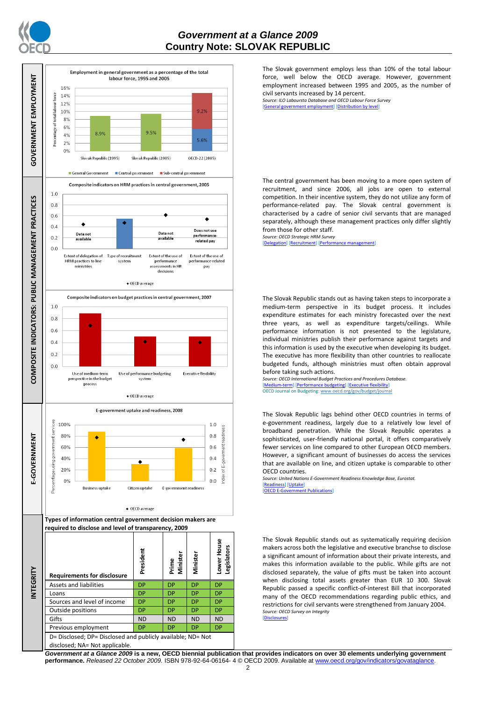



The Slovak government employs less than 10% of the total labour force, well below the OECD average. However, government employment increased between 1995 and 2005, as the number of civil servants increased by 14 percent.

*Source: ILO Laboursta Database and OECD Labour Force Survey* iployment] [\[Distribution by level\]](http://dx.doi.org/10.1787/723627140760)

The central government has been moving to a more open system of recruitment, and since 2006, all jobs are open to external competition. In their incentive system, they do not utilize any form of performance-related pay. The Slovak central government is characterised by a cadre of senior civil servants that are managed separately, although these management practices only differ slightly from those for other staff.

*Source: OECD Strategic HRM Survey*  [\[Delegation\]](http://dx.doi.org/10.1787/723663744332) [\[Recruitment\]](http://dx.doi.org/10.1787/723668744361) [Performance]

The Slovak Republic stands out as having taken steps to incorporate a medium-term perspective in its budget process. It includes expenditure estimates for each ministry forecasted over the next three years, as well as expenditure targets/ceilings. While performance information is not presented to the legislature, individual ministries publish their performance against targets and this information is used by the executive when developing its budget. The executive has more flexibility than other countries to reallocate budgeted funds, although ministries must often obtain approval before taking such actions.

*Source: OECD International Budget Practices and Procedures Database.* [\[Medium-term\]](http://dx.doi.org/10.1787/723856770865) [\[Performance budgeting\]](http://dx.doi.org/10.1787/723863437686) [\[Executive flexibility\]](http://dx.doi.org/10.1787/723876713213) OECD Journal on Budgeting[: www.oecd.org/gov/budget/journal](http://www.oecd.org/gov/budget/journal)

The Slovak Republic lags behind other OECD countries in terms of e-government readiness, largely due to a relatively low level of broadband penetration. While the Slovak Republic operates a sophisticated, user-friendly national portal, it offers comparatively fewer services on line compared to other European OECD members. However, a significant amount of businesses do access the services that are available on line, and citizen uptake is comparable to other OECD countries.

*Source: United Nations E-Government Readiness Knowledge Base, Eurostat.* [\[Readiness\]](http://dx.doi.org/10.1787/724248078408) [\[Uptake\]](http://dx.doi.org/10.1787/724264662272)

 $[OFCD F-Gc]$ 

The Slovak Republic stands out as systematically requiring decision makers across both the legislative and executive branchse to disclose a significant amount of information about their private interests, and makes this information available to the public. While gifts are not disclosed separately, the value of gifts must be taken into account when disclosing total assets greater than EUR 10 300. Slovak Republic passed a specific conflict-of-interest Bill that incorporated many of the OECD recommendations regarding public ethics, and restrictions for civil servants were strengthened from January 2004. *Source: OECD Survey on Integrity*

[\[Disclosures\]](http://dx.doi.org/10.1787/724123642681)

*Government at a Glance 2009* **is a new, OECD biennial publication that provides indicators on over 30 elements underlying government performance.** *Released 22 October 2009.* ISBN 978-92-64-06164- 4 © OECD 2009. Available at www.oecd.org/gov/indicators/govataglance.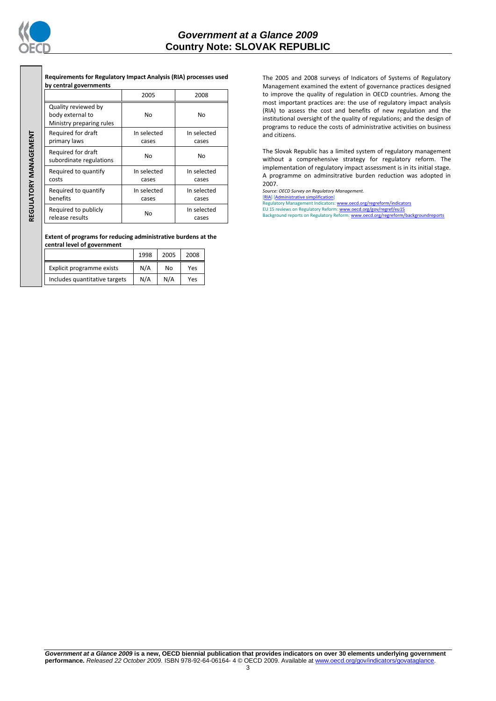

REGULATORY MANAGEMENT **REGULATORY MANAGEMENT**

## *Government at a Glance 2009*  **Country Note: SLOVAK REPUBLIC**

**Requirements for Regulatory Impact Analysis (RIA) processes used by central governments**

|                                                                     | 2005                 | 2008                 |
|---------------------------------------------------------------------|----------------------|----------------------|
| Quality reviewed by<br>body external to<br>Ministry preparing rules | No                   | No                   |
| Required for draft<br>primary laws                                  | In selected<br>cases | In selected<br>cases |
| Required for draft<br>subordinate regulations                       | No                   | No                   |
| Required to quantify<br>costs                                       | In selected<br>cases | In selected<br>cases |
| Required to quantify<br>benefits                                    | In selected<br>cases | In selected<br>cases |
| Required to publicly<br>release results                             | No                   | In selected<br>cases |

**Extent of programs for reducing administrative burdens at the central level of government**

|                               | 1998 | 2005 | 2008 |
|-------------------------------|------|------|------|
| Explicit programme exists     | N/A  | No   | Yes  |
| Includes quantitative targets | N/A  | N/A  | Yes  |

The 2005 and 2008 surveys of Indicators of Systems of Regulatory Management examined the extent of governance practices designed to improve the quality of regulation in OECD countries. Among the most important practices are: the use of regulatory impact analysis (RIA) to assess the cost and benefits of new regulation and the institutional oversight of the quality of regulations; and the design of programs to reduce the costs of administrative activities on business and citizens.

The Slovak Republic has a limited system of regulatory management without a comprehensive strategy for regulatory reform. The implementation of regulatory impact assessment is in its initial stage. A programme on adminsitrative burden reduction was adopted in 2007.

*Source: OECD Survey on Regulatory Management.*

[\[RIA\]](http://dx.doi.org/10.1787/724045144354) [\[Administrative simplification\]](http://dx.doi.org/10.1787/724058851054) Regulatory Management Indicators[: www.oecd.org/regreform/indicators](http://www.oecd.org/regreform/indicators)

EU 15 reviews on Regulatory Reform[: www.oecd.org/gov/regref/eu15](http://www.oecd.org/gov/regref/eu15)<br>Background reports on Regulatory Reform: <u>www.oecd.org/regreform/backgroundreports</u>